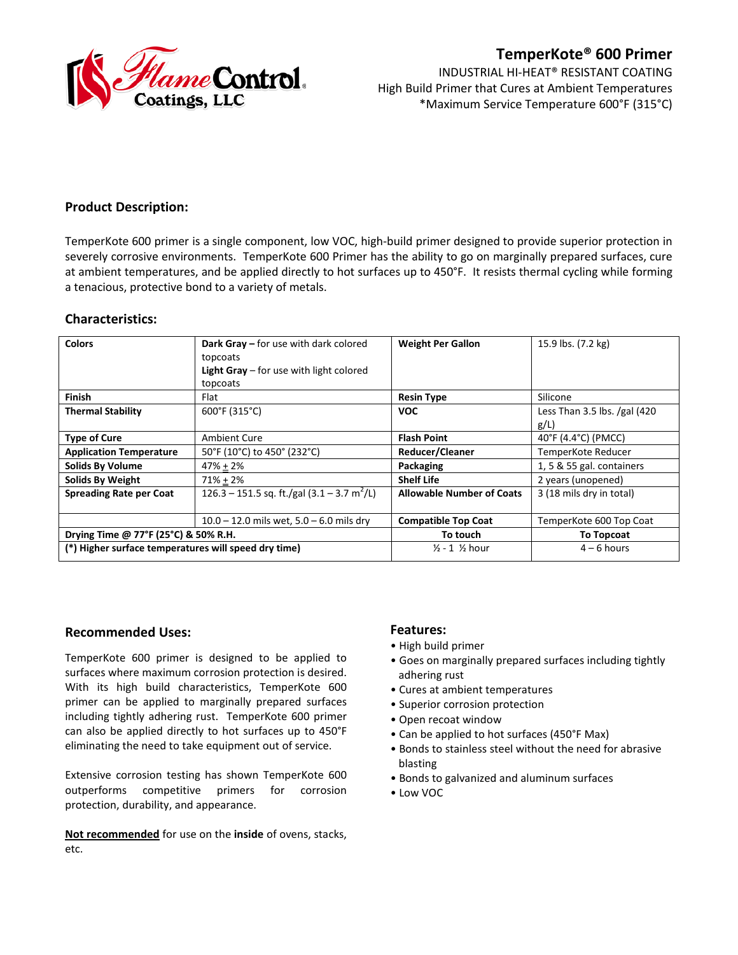

# **TemperKote® 600 Primer**

INDUSTRIAL HI-HEAT® RESISTANT COATING High Build Primer that Cures at Ambient Temperatures \*Maximum Service Temperature 600°F (315°C)

# **Product Description:**

TemperKote 600 primer is a single component, low VOC, high-build primer designed to provide superior protection in severely corrosive environments. TemperKote 600 Primer has the ability to go on marginally prepared surfaces, cure at ambient temperatures, and be applied directly to hot surfaces up to 450°F. It resists thermal cycling while forming a tenacious, protective bond to a variety of metals.

# **Characteristics:**

| <b>Colors</b>                                        | <b>Dark Gray - for use with dark colored</b><br>topcoats     | <b>Weight Per Gallon</b>             | 15.9 lbs. (7.2 kg)             |
|------------------------------------------------------|--------------------------------------------------------------|--------------------------------------|--------------------------------|
|                                                      | <b>Light Gray</b> $-$ for use with light colored             |                                      |                                |
|                                                      | topcoats                                                     |                                      |                                |
| <b>Finish</b>                                        | Flat                                                         | <b>Resin Type</b>                    | Silicone                       |
| <b>Thermal Stability</b>                             | 600°F (315°C)                                                | <b>VOC</b>                           | Less Than 3.5 lbs. $/gal$ (420 |
|                                                      |                                                              |                                      | g/L                            |
| <b>Type of Cure</b>                                  | <b>Ambient Cure</b>                                          | <b>Flash Point</b>                   | 40°F (4.4°C) (PMCC)            |
| <b>Application Temperature</b>                       | 50°F (10°C) to 450° (232°C)                                  | <b>Reducer/Cleaner</b>               | TemperKote Reducer             |
| <b>Solids By Volume</b>                              | $47% + 2%$                                                   | <b>Packaging</b>                     | 1, 5 & 55 gal. containers      |
| <b>Solids By Weight</b>                              | $71\% + 2\%$                                                 | <b>Shelf Life</b>                    | 2 years (unopened)             |
| <b>Spreading Rate per Coat</b>                       | 126.3 – 151.5 sq. ft./gal $(3.1 - 3.7 \text{ m}^2/\text{L})$ | <b>Allowable Number of Coats</b>     | 3 (18 mils dry in total)       |
|                                                      | $10.0 - 12.0$ mils wet, $5.0 - 6.0$ mils dry                 | <b>Compatible Top Coat</b>           | TemperKote 600 Top Coat        |
| Drying Time @ 77°F (25°C) & 50% R.H.                 |                                                              | To touch                             | <b>To Topcoat</b>              |
| (*) Higher surface temperatures will speed dry time) |                                                              | $\frac{1}{2}$ - 1 $\frac{1}{2}$ hour | $4 - 6$ hours                  |

## **Recommended Uses:**

TemperKote 600 primer is designed to be applied to surfaces where maximum corrosion protection is desired. With its high build characteristics, TemperKote 600 primer can be applied to marginally prepared surfaces including tightly adhering rust. TemperKote 600 primer can also be applied directly to hot surfaces up to 450°F eliminating the need to take equipment out of service.

Extensive corrosion testing has shown TemperKote 600 outperforms competitive primers for corrosion protection, durability, and appearance.

**Not recommended** for use on the **inside** of ovens, stacks, etc.

## **Features:**

- High build primer
- Goes on marginally prepared surfaces including tightly adhering rust
- Cures at ambient temperatures
- Superior corrosion protection
- Open recoat window
- Can be applied to hot surfaces (450°F Max)
- Bonds to stainless steel without the need for abrasive blasting
- Bonds to galvanized and aluminum surfaces
- Low VOC